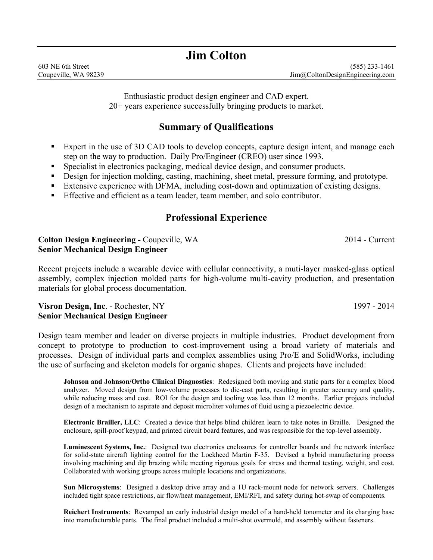# **Jim Colton**

Enthusiastic product design engineer and CAD expert. 20+ years experience successfully bringing products to market.

## **Summary of Qualifications**

- Expert in the use of 3D CAD tools to develop concepts, capture design intent, and manage each step on the way to production. Daily Pro/Engineer (CREO) user since 1993.
- Specialist in electronics packaging, medical device design, and consumer products.
- Design for injection molding, casting, machining, sheet metal, pressure forming, and prototype.
- Extensive experience with DFMA, including cost-down and optimization of existing designs.
- Effective and efficient as a team leader, team member, and solo contributor.

## **Professional Experience**

### **Colton Design Engineering - Coupeville, WA 2014 - Current Senior Mechanical Design Engineer**

Recent projects include a wearable device with cellular connectivity, a muti-layer masked-glass optical assembly, complex injection molded parts for high-volume multi-cavity production, and presentation materials for global process documentation.

#### **Visron Design, Inc. -** Rochester, NY 1997 - 2014 **Senior Mechanical Design Engineer**

Design team member and leader on diverse projects in multiple industries. Product development from concept to prototype to production to cost-improvement using a broad variety of materials and processes. Design of individual parts and complex assemblies using Pro/E and SolidWorks, including the use of surfacing and skeleton models for organic shapes. Clients and projects have included:

**Johnson and Johnson/Ortho Clinical Diagnostics**: Redesigned both moving and static parts for a complex blood analyzer. Moved design from low-volume processes to die-cast parts, resulting in greater accuracy and quality, while reducing mass and cost. ROI for the design and tooling was less than 12 months. Earlier projects included design of a mechanism to aspirate and deposit microliter volumes of fluid using a piezoelectric device.

**Electronic Brailler, LLC**: Created a device that helps blind children learn to take notes in Braille. Designed the enclosure, spill-proof keypad, and printed circuit board features, and was responsible for the top-level assembly.

**Luminescent Systems, Inc.**: Designed two electronics enclosures for controller boards and the network interface for solid-state aircraft lighting control for the Lockheed Martin F-35. Devised a hybrid manufacturing process involving machining and dip brazing while meeting rigorous goals for stress and thermal testing, weight, and cost. Collaborated with working groups across multiple locations and organizations.

**Sun Microsystems**: Designed a desktop drive array and a 1U rack-mount node for network servers. Challenges included tight space restrictions, air flow/heat management, EMI/RFI, and safety during hot-swap of components.

**Reichert Instruments**: Revamped an early industrial design model of a hand-held tonometer and its charging base into manufacturable parts. The final product included a multi-shot overmold, and assembly without fasteners.